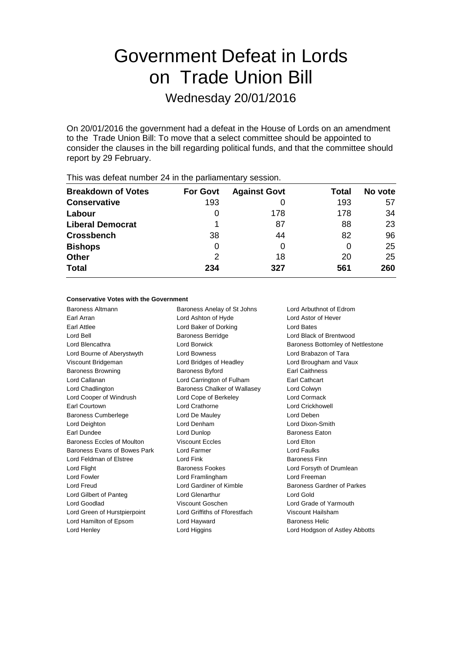# Government Defeat in Lords on Trade Union Bill

Wednesday 20/01/2016

On 20/01/2016 the government had a defeat in the House of Lords on an amendment to the Trade Union Bill: To move that a select committee should be appointed to consider the clauses in the bill regarding political funds, and that the committee should report by 29 February.

| <b>Breakdown of Votes</b> | <b>For Govt</b> | <b>Against Govt</b> | Total | No vote |
|---------------------------|-----------------|---------------------|-------|---------|
| <b>Conservative</b>       | 193             |                     | 193   | 57      |
| Labour                    | O               | 178                 | 178   | 34      |
| <b>Liberal Democrat</b>   |                 | 87                  | 88    | 23      |
| <b>Crossbench</b>         | 38              | 44                  | 82    | 96      |
| <b>Bishops</b>            | 0               | 0                   | 0     | 25      |
| <b>Other</b>              | 2               | 18                  | 20    | 25      |
| <b>Total</b>              | 234             | 327                 | 561   | 260     |
|                           |                 |                     |       |         |

This was defeat number 24 in the parliamentary session.

# **Conservative Votes with the Government**

Baroness Altmann Baroness Anelay of St Johns Lord Arbuthnot of Edrom Earl Arran Lord Ashton of Hyde Lord Astor of Hever Earl Attlee **Lord Baker of Dorking** Lord Bates Lord Bell Baroness Berridge Lord Black of Brentwood Lord Blencathra Lord Borwick Baroness Bottomley of Nettlestone Lord Bourne of Aberystwyth Lord Bowness Lord Brabazon of Tara Viscount Bridgeman Lord Bridges of Headley Lord Brougham and Vaux Baroness Browning **Baroness Byford** Earl Caithness Lord Callanan Lord Carrington of Fulham Earl Cathcart Lord Chadlington Baroness Chalker of Wallasey Lord Colwyn Lord Cooper of Windrush Lord Cope of Berkeley Lord Cormack Earl Courtown Lord Crathorne Lord Crickhowell Baroness Cumberlege Lord De Mauley Lord Deben Lord Deighton Lord Denham Lord Dixon-Smith Earl Dundee **Lord Dunlop** Lord Dunlop **Baroness Eaton** Baroness Eccles of Moulton Viscount Eccles Lord Elton Baroness Evans of Bowes Park Lord Farmer Lord Faulks Lord Feldman of Elstree **Lord Fink** Baroness Finn Lord Flight **Baroness Fookes** Lord Forsyth of Drumlean Lord Fowler Lord Framlingham Lord Freeman Lord Freud **Lord Gardiner of Kimble** Baroness Gardner of Parkes Lord Gilbert of Panteg **Lord Glenarthur** Lord Gold Lord Gold Lord Goodlad Viscount Goschen Lord Grade of Yarmouth Lord Green of Hurstpierpoint Lord Griffiths of Fforestfach Viscount Hailsham Lord Hamilton of Epsom Lord Hayward **Baroness Helic** Lord Henley Lord Higgins Lord Hodgson of Astley Abbotts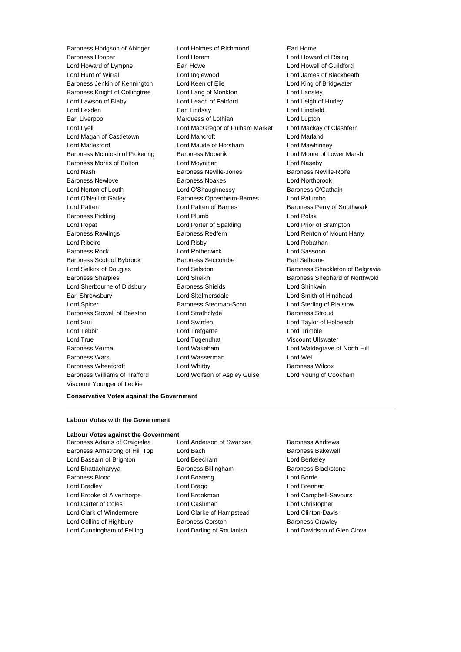Viscount Younger of Leckie

Baroness Hodgson of Abinger Lord Holmes of Richmond Earl Home Baroness Hooper Lord Horam Lord Howard of Rising Lord Howard of Lympne Earl Howe Lord Howell of Guildford Lord Hunt of Wirral Lord Inglewood Lord James of Blackheath Baroness Jenkin of Kennington Lord Keen of Elie Lord King of Bridgwater Baroness Knight of Collingtree Lord Lang of Monkton Lord Lansley Lord Lawson of Blaby Lord Leach of Fairford Lord Leigh of Hurley Lord Lexden Earl Lindsay Lord Lingfield Earl Liverpool **Earl Liverpool** Marquess of Lothian **Lord Lupton** Lord Lyell Lord MacGregor of Pulham Market Lord Mackay of Clashfern Lord Magan of Castletown Lord Mancroft Lord Marland Lord Marlesford Lord Maude of Horsham Lord Mawhinney Baroness McIntosh of Pickering Baroness Mobarik Lord Moore of Lower Marsh Baroness Morris of Bolton Lord Moynihan Lord Naseby Lord Nash Baroness Neville-Jones Baroness Neville-Rolfe Baroness Newlove Baroness Noakes Lord Northbrook Lord Norton of Louth **Lord O'Shaughnessy** Baroness O'Cathain Lord O'Neill of Gatley **Baroness Oppenheim-Barnes** Lord Palumbo Lord Patten **Lord Patten of Barnes** Baroness Perry of Southwark Baroness Pidding **Lord Plumb** Lord Plumb **Lord Polak** Lord Popat Lord Porter of Spalding Lord Prior of Brampton Baroness Rawlings **Baroness Redfern Baroness Redfern Lord Renton of Mount Harry** Lord Ribeiro Lord Risby Lord Robathan Baroness Rock Lord Rotherwick Lord Sassoon Baroness Scott of Bybrook Baroness Seccombe Earl Selborne Lord Selkirk of Douglas **Lord Selsdon** Baroness Shackleton of Belgravia Baroness Sharples Lord Sheikh Baroness Shephard of Northwold Lord Sherbourne of Didsbury **Baroness Shields Lord Shinkwin** Earl Shrewsbury Lord Skelmersdale Lord Smith of Hindhead Lord Spicer **Baroness Stedman-Scott** Lord Sterling of Plaistow Baroness Stowell of Beeston Lord Strathclyde Baroness Stroud Lord Suri Lord Swinfen Lord Taylor of Holbeach Lord Tebbit Lord Trefgarne Lord Trimble Lord True Lord Tugendhat Viscount Ullswater Baroness Verma Lord Wakeham Lord Waldegrave of North Hill Baroness Warsi Lord Wasserman Lord Wei Baroness Wheatcroft **Lord Whitby Baroness Wilcox** Baroness Williams of Trafford Lord Wolfson of Aspley Guise Lord Young of Cookham

# **Conservative Votes against the Government**

# **Labour Votes with the Government**

#### **Labour Votes against the Government**

- Baroness Armstrong of Hill Top Lord Bach Baroness Bakewell Lord Bassam of Brighton Lord Beecham Lord Berkeley Lord Bhattacharyya Baroness Billingham Baroness Blackstone Baroness Blood **Lord Boateng** Lord Boateng **Lord Borrie** Lord Bradley **Lord Bragg Lord Bragg Lord Brennan** Lord Brooke of Alverthorpe Lord Brookman Lord Campbell-Savours Lord Carter of Coles **Lord Cashman** Lord Christopher Lord Clark of Windermere Lord Clarke of Hampstead Lord Clinton-Davis Lord Collins of Highbury **Baroness Corston** Baroness Crawley Lord Cunningham of Felling Lord Darling of Roulanish Lord Davidson of Glen Clova
- Baroness Adams of Craigielea Lord Anderson of Swansea Baroness Andrews
	-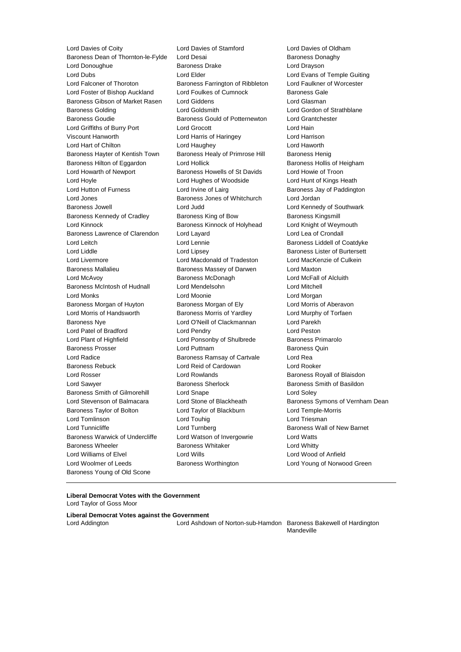Lord Davies of Coity **Lord Davies of Contingle Corporation**<br>Baroness Dean of Thornton-le-Fylde Lord Desai **Lord Davies Contagny** Baroness Donaghy Baroness Dean of Thornton-le-Fylde Lord Desai Lord Donoughue Baroness Drake Lord Drayson Lord Dubs Lord Elder Lord Evans of Temple Guiting Lord Falconer of Thoroton Baroness Farrington of Ribbleton Lord Faulkner of Worcester Lord Foster of Bishop Auckland Lord Foulkes of Cumnock Baroness Gale Baroness Gibson of Market Rasen Lord Giddens **Lord Gramman** Lord Glasman Baroness Golding Lord Goldsmith Lord Gordon of Strathblane Baroness Goudie Baroness Gould of Potternewton Lord Grantchester Lord Griffiths of Burry Port Lord Grocott Lord Hain Viscount Hanworth Lord Harris of Haringey Lord Harrison Lord Hart of Chilton **Lord Haughey** Lord Haughey **Lord Haworth** Baroness Hayter of Kentish Town Baroness Healy of Primrose Hill Baroness Henig Baroness Hilton of Eggardon Lord Hollick Baroness Hollis of Heigham Lord Howarth of Newport Baroness Howells of St Davids Lord Howie of Troon Lord Hoyle Lord Hughes of Woodside Lord Hunt of Kings Heath Lord Hutton of Furness Lord Irvine of Lairg **Baroness Jay of Paddington** Lord Jones **Baroness Jones of Whitchurch** Lord Jordan Baroness Jowell **Lord Judd** Lord Judd Lord Communication Control Assembly Controller Controller Controller Controller Controller Controller Controller Controller Controller Controller Controller Controller Controller Contr Baroness Kennedy of Cradley **Baroness King of Bow** Baroness Kingsmill Lord Kinnock Baroness Kinnock of Holyhead Lord Knight of Weymouth Baroness Lawrence of Clarendon Lord Layard Lord Lea of Crondall Lord Leitch **Lord Lennie** Lord Lennie **Baroness Liddell of Coatdyke** Lord Liddle Lord Lipsey Baroness Lister of Burtersett Lord Livermore Lord Macdonald of Tradeston Lord MacKenzie of Culkein Baroness Mallalieu Baroness Massey of Darwen Lord Maxton Lord McAvoy Baroness McDonagh Lord McFall of Alcluith Baroness McIntosh of Hudnall Lord Mendelsohn Lord Mitchell Lord Monks Lord Moonie Lord Morgan Baroness Morgan of Huyton Baroness Morgan of Ely Lord Morris of Aberavon Lord Morris of Handsworth Baroness Morris of Yardley Lord Murphy of Torfaen Baroness Nye Lord O'Neill of Clackmannan Lord Parekh Lord Patel of Bradford Lord Pendry Lord Peston Lord Plant of Highfield Lord Ponsonby of Shulbrede Baroness Primarolo Baroness Prosser **Baroness Prosser** Lord Puttnam **Baroness Quin** Lord Radice **Baroness Ramsay of Cartvale** Lord Rea Baroness Rebuck Lord Reid of Cardowan Lord Rooker Lord Rosser **Lord Rowlands Lord Rowlands Baroness Royall of Blaisdon** Lord Sawyer **Baroness Sherlock** Baroness Sherlock Baroness Smith of Basildon Baroness Smith of Gilmorehill Lord Snape Lord Soley Lord Stevenson of Balmacara Lord Stone of Blackheath Baroness Symons of Vernham Dean Baroness Taylor of Bolton Lord Taylor of Blackburn Lord Temple-Morris Lord Tomlinson Lord Touhig Lord Triesman Lord Tunnicliffe **Lord Turnberg** Baroness Wall of New Barnet Baroness Warwick of Undercliffe Lord Watson of Invergowrie Lord Watts Baroness Wheeler **Baroness Whitaker** Lord Whitty Lord Williams of Elvel Lord Wills Lord Wood of Anfield Lord Woolmer of Leeds Baroness Worthington Lord Young of Norwood Green Baroness Young of Old Scone

**Liberal Democrat Votes with the Government** Lord Taylor of Goss Moor

**Liberal Democrat Votes against the Government** Lord Addington Lord Ashdown of Norton-sub-Hamdon Baroness Bakewell of Hardington

Mandeville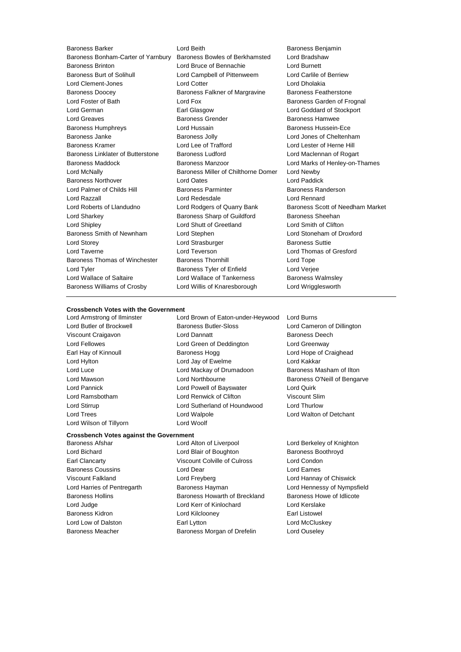Baroness Bonham-Carter of Yarnbury Baroness Bowles of Berkhamsted Baroness Brinton Lord Bruce of Bennachie Lord Burnett Baroness Burt of Solihull Lord Campbell of Pittenweem Lord Carlile of Berriew Lord Clement-Jones Lord Cotter Lord Dholakia Baroness Doocey Baroness Falkner of Margravine Baroness Featherstone Lord Foster of Bath **Lord Fox** Lord Fox **Baroness Garden of Frognal** Lord German Earl Glasgow Lord Goddard of Stockport Lord Greaves Baroness Grender Baroness Hamwee Baroness Humphreys **Example 2** Lord Hussain **Baroness Hussein-Ece** Baroness Janke Baroness Jolly Lord Jones of Cheltenham Baroness Kramer **Lord Lee of Trafford** Lord Lester of Herne Hill Baroness Linklater of Butterstone Baroness Ludford Lord Maclennan of Rogart Baroness Maddock Baroness Manzoor Lord Marks of Henley-on-Thames Lord McNally Baroness Miller of Chilthorne Domer Lord Newby Baroness Northover Lord Oates Lord Paddick Lord Palmer of Childs Hill **Baroness Parminter** Baroness Randerson Lord Razzall Lord Redesdale Lord Rennard Lord Roberts of Llandudno Lord Rodgers of Quarry Bank Baroness Scott of Needham Market Lord Sharkey **Baroness Sharp of Guildford** Baroness Sheehan Lord Shipley Lord Shutt of Greetland Lord Smith of Clifton Baroness Smith of Newnham Lord Stephen Lord Stoneham of Droxford Lord Storey Lord Strasburger Baroness Suttie Lord Taverne Lord Teverson Lord Thomas of Gresford Baroness Thomas of Winchester Baroness Thornhill Lord Tope Lord Tyler Baroness Tyler of Enfield Lord Verjee Lord Wallace of Saltaire **Lord Wallace of Tankerness** Baroness Walmsley Baroness Williams of Crosby Lord Willis of Knaresborough Lord Wrigglesworth

Baroness Barker **Lord Beith** Lord Beith Baroness Benjamin<br>Baroness Bonham-Carter of Yarnbury Baroness Bowles of Berkhamsted Lord Bradshaw

# **Crossbench Votes with the Government**<br>Lord Armstrong of Ilminster Lor

Lord Wilson of Tillyorn **Lord Woolf** 

Lord Brown of Eaton-under-Heywood Lord Burns Lord Butler of Brockwell Baroness Butler-Sloss Lord Cameron of Dillington Viscount Craigavon Lord Dannatt Baroness Deech Lord Fellowes Lord Green of Deddington Lord Greenway Earl Hay of Kinnoull **Baroness Hogg Lord Hope of Craighead** Baroness Hogg Lord Hope of Craighead Lord Hylton Lord Jay of Ewelme Lord Kakkar Lord Luce Lord Mackay of Drumadoon Baroness Masham of Ilton Lord Mawson Lord Northbourne Baroness O'Neill of Bengarve Lord Pannick Lord Powell of Bayswater Lord Quirk Lord Ramsbotham Lord Renwick of Clifton Viscount Slim Lord Stirrup Lord Sutherland of Houndwood Lord Thurlow Lord Trees Lord Walpole Lord Walton of Detchant

# **Crossbench Votes against the Government**

- 
- Baroness Afshar Lord Alton of Liverpool Lord Berkeley of Knighton Lord Bichard **Lord Blair of Boughton** Baroness Boothroyd Earl Clancarty Viscount Colville of Culross Lord Condon Baroness Coussins Lord Dear Lord Eames
- Viscount Falkland Lord Freyberg Lord Hannay of Chiswick Lord Harries of Pentregarth Baroness Hayman Lord Hennessy of Nympsfield Baroness Hollins **Baroness Howarth of Breckland** Baroness Howe of Idlicote Lord Judge Lord Kerr of Kinlochard Lord Kerslake Baroness Kidron Lord Kilclooney Earl Listowel Lord Low of Dalston **Earl Lytton** Earl Lytton **Earl Lytton Lord McCluskey** Baroness Meacher **Baroness Morgan of Drefelin** Lord Ouseley
- 
-